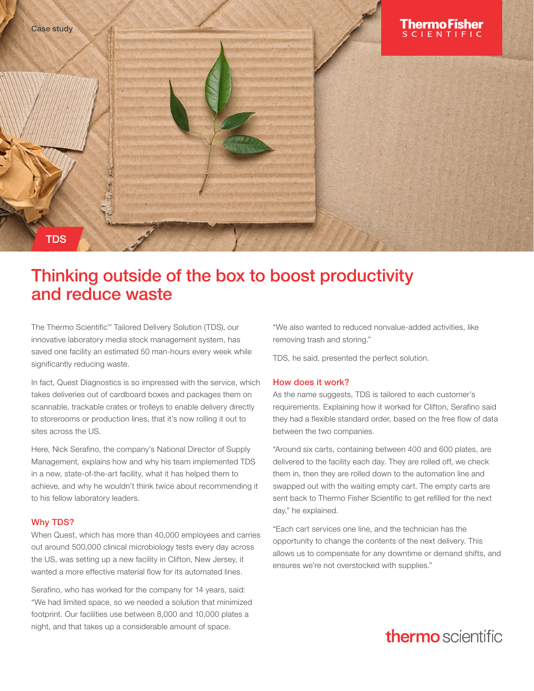

### Thinking outside of the box to boost productivity and reduce waste

The Thermo Scientific™ Tailored Delivery Solution (TDS), our innovative laboratory media stock management system, has saved one facility an estimated 50 man-hours every week while significantly reducing waste.

In fact, Quest Diagnostics is so impressed with the service, which takes deliveries out of cardboard boxes and packages them on scannable, trackable crates or trolleys to enable delivery directly to storerooms or production lines, that it's now rolling it out to sites across the US.

Here, Nick Serafino, the company's National Director of Supply Management, explains how and why his team implemented TDS in a new, state-of-the-art facility, what it has helped them to achieve, and why he wouldn't think twice about recommending it to his fellow laboratory leaders.

#### Why TDS?

When Quest, which has more than 40,000 employees and carries out around 500,000 clinical microbiology tests every day across the US, was setting up a new facility in Clifton, New Jersey, it wanted a more effective material flow for its automated lines.

Serafino, who has worked for the company for 14 years, said: "We had limited space, so we needed a solution that minimized footprint. Our facilities use between 8,000 and 10,000 plates a night, and that takes up a considerable amount of space.

"We also wanted to reduced nonvalue-added activities, like removing trash and storing."

TDS, he said, presented the perfect solution.

#### How does it work?

As the name suggests, TDS is tailored to each customer's requirements. Explaining how it worked for Clifton, Serafino said they had a flexible standard order, based on the free flow of data between the two companies.

"Around six carts, containing between 400 and 600 plates, are delivered to the facility each day. They are rolled off, we check them in, then they are rolled down to the automation line and swapped out with the waiting empty cart. The empty carts are sent back to Thermo Fisher Scientific to get refilled for the next day," he explained.

"Each cart services one line, and the technician has the opportunity to change the contents of the next delivery. This allows us to compensate for any downtime or demand shifts, and ensures we're not overstocked with supplies."

# **thermo** scientific